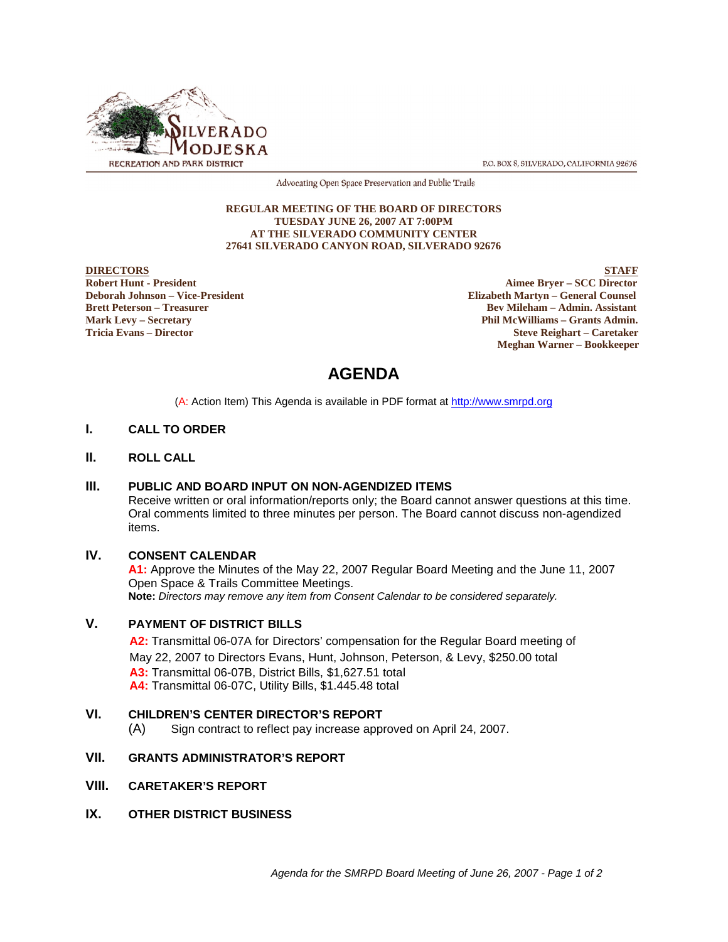

P.O. BOX 8, SILVERADO, CALIFORNIA 92676

Advocating Open Space Preservation and Public Trails

#### **REGULAR MEETING OF THE BOARD OF DIRECTORS TUESDAY JUNE 26, 2007 AT 7:00PM AT THE SILVERADO COMMUNITY CENTER 27641 SILVERADO CANYON ROAD, SILVERADO 92676**

**DIRECTORS** STAFF **Robert Hunt - President Aimee Bryer – SCC Director**<br> **Robert Hunt - President Aimee Bryer – SCC Director**<br> **Aimee Bryer – SCC Director**<br> **Aimee Bryer – SCC Director Deborah Johnson – Vice-President Elizabeth Martyn – General Counsel Bev Mileham – Admin. Assistant Mark Levy – Secretary Phil McWilliams – Grants Admin. Tricia Evans – Director Steve Reighart – Caretaker Meghan Warner – Bookkeeper**

# **AGENDA**

(A: Action Item) This Agenda is available in PDF format at http://www.smrpd.org

#### **I. CALL TO ORDER**

#### **II. ROLL CALL**

#### **III. PUBLIC AND BOARD INPUT ON NON-AGENDIZED ITEMS**

Receive written or oral information/reports only; the Board cannot answer questions at this time. Oral comments limited to three minutes per person. The Board cannot discuss non-agendized items.

#### **IV. CONSENT CALENDAR**

**A1:** Approve the Minutes of the May 22, 2007 Regular Board Meeting and the June 11, 2007 Open Space & Trails Committee Meetings. **Note:** *Directors may remove any item from Consent Calendar to be considered separately.*

#### **V. PAYMENT OF DISTRICT BILLS**

**A2:**Transmittal 06-07A for Directors' compensation for the Regular Board meeting of May 22, 2007 to Directors Evans, Hunt, Johnson, Peterson, & Levy, \$250.00 total **A3:** Transmittal 06-07B, District Bills, \$1,627.51 total **A4:** Transmittal 06-07C, Utility Bills, \$1.445.48 total

#### **VI. CHILDREN'S CENTER DIRECTOR'S REPORT**

(A) Sign contract to reflect pay increase approved on April 24, 2007.

#### **VII. GRANTS ADMINISTRATOR'S REPORT**

- **VIII. CARETAKER'S REPORT**
- **IX. OTHER DISTRICT BUSINESS**